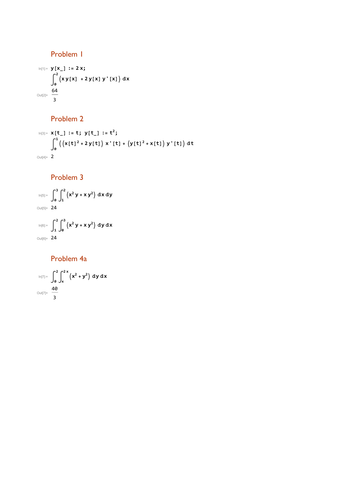Problem 1

$$
\begin{aligned}\n\log_{|x|_{2}} y[x_{-}] &:= 2 \times j \\
\int_{0}^{2} (xy[x] + 2y[x] y'[x]) dx \\
\text{Out[2]} &= \frac{64}{3}\n\end{aligned}
$$

## Problem 2

$$
\begin{aligned}\n\text{In}[3] &= \mathbf{x}[t_1 := t; \ y[t_1 := t^2; \\
\int_0^1 \left( \left( x[t]^2 + 2y[t] \right) x' [t] + \left( y[t]^2 + x[t] \right) y' [t] \right) dt \\
&\text{Out}[4] &= 2\n\end{aligned}
$$

## Problem 3

$$
\lim_{|n[5]:=}\int_{0}^{3}\int_{1}^{2}\left(x^{2} y + x y^{2}\right) dx dy
$$
\n
$$
\lim_{|n[6]:=}\int_{1}^{2}\int_{0}^{3}\left(x^{2} y + x y^{2}\right) dy dx
$$
\n
$$
\lim_{|n[6]:=}\int_{1}^{2}\int_{0}^{3}\left(x^{2} y + x y^{2}\right) dy dx
$$

## Problem 4a

$$
\lim_{\|u\|_{\mathbb{R}}^2=1}\int_0^2\int_x^{2\,x}\left(x^2+y^2\right)\,dy\,dx
$$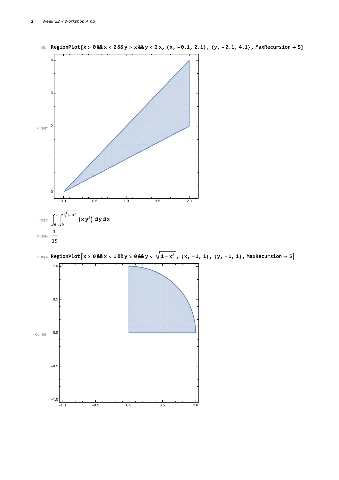



 $In[8] = \text{RegionPlot}[x > 0.88x < 2.88y > x.88y < 2x, \{x, -0.1, 2.1\}, \{y, -0.1, 4.1\}, \text{MaxRecursion} \rightarrow 5]$